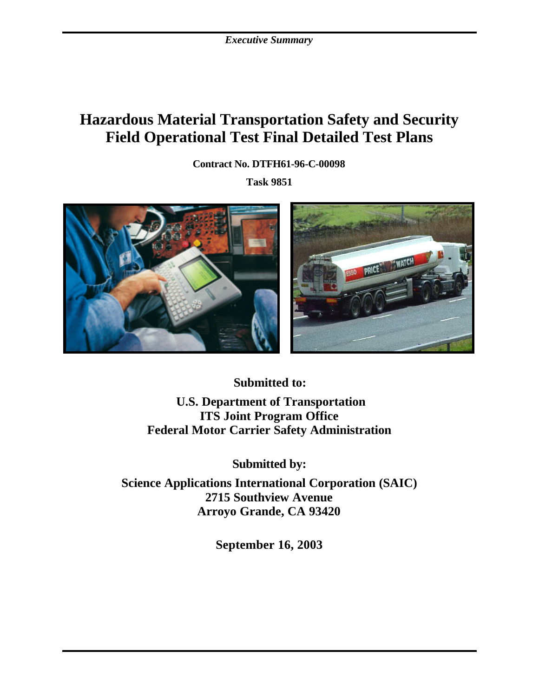# **Hazardous Material Transportation Safety and Security Field Operational Test Final Detailed Test Plans**

**Contract No. DTFH61-96-C-00098**

**Task 9851**





**Submitted to:**

 **U.S. Department of Transportation ITS Joint Program Office Federal Motor Carrier Safety Administration**

**Submitted by:**

**Science Applications International Corporation (SAIC) 2715 Southview Avenue Arroyo Grande, CA 93420**

**September 16, 2003**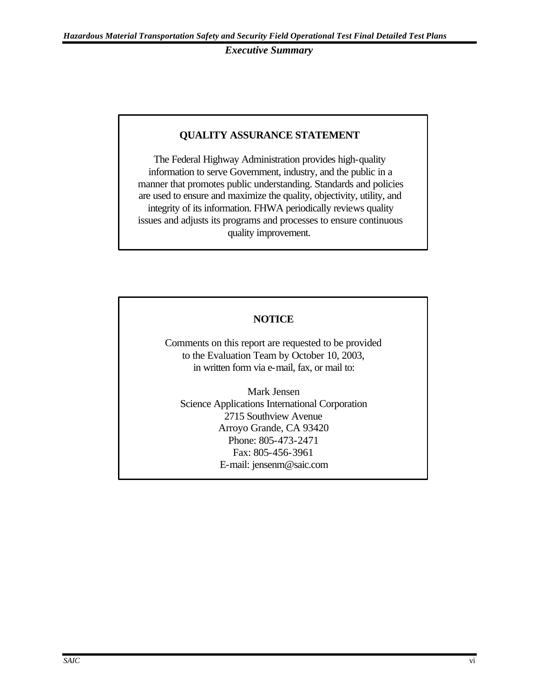## **QUALITY ASSURANCE STATEMENT**

The Federal Highway Administration provides high-quality information to serve Government, industry, and the public in a manner that promotes public understanding. Standards and policies are used to ensure and maximize the quality, objectivity, utility, and integrity of its information. FHWA periodically reviews quality issues and adjusts its programs and processes to ensure continuous quality improvement.

## **NOTICE**

Comments on this report are requested to be provided to the Evaluation Team by October 10, 2003, in written form via e-mail, fax, or mail to:

Mark Jensen Science Applications International Corporation 2715 Southview Avenue Arroyo Grande, CA 93420 Phone: 805-473-2471 Fax: 805-456-3961 E-mail: jensenm@saic.com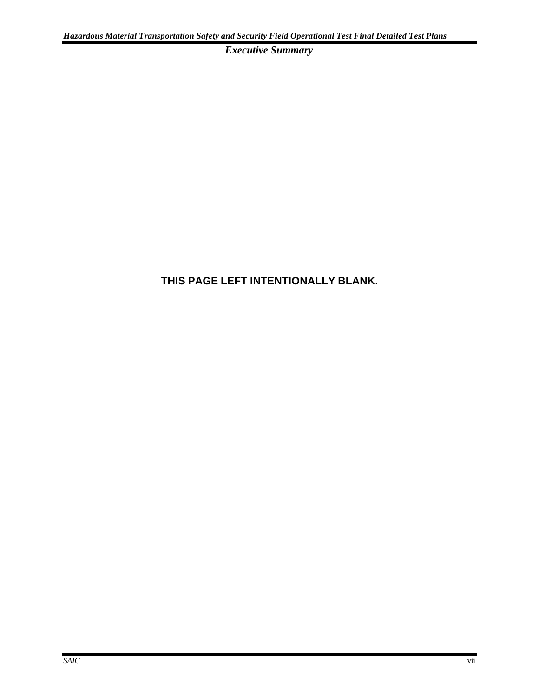## **THIS PAGE LEFT INTENTIONALLY BLANK.**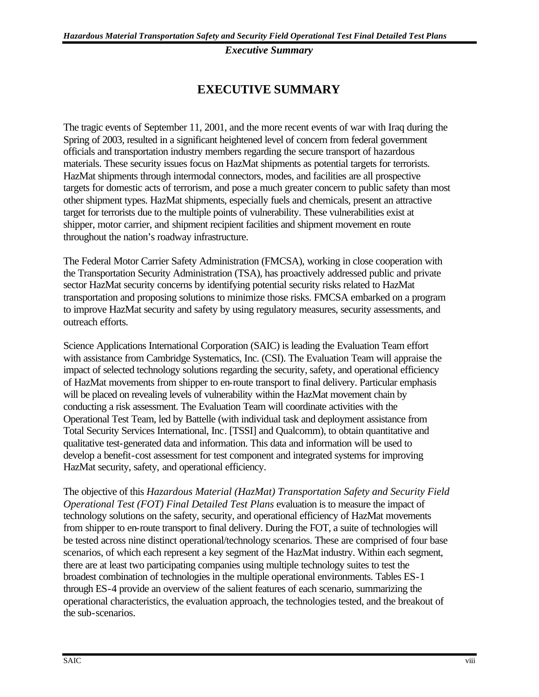## **EXECUTIVE SUMMARY**

The tragic events of September 11, 2001, and the more recent events of war with Iraq during the Spring of 2003, resulted in a significant heightened level of concern from federal government officials and transportation industry members regarding the secure transport of hazardous materials. These security issues focus on HazMat shipments as potential targets for terrorists. HazMat shipments through intermodal connectors, modes, and facilities are all prospective targets for domestic acts of terrorism, and pose a much greater concern to public safety than most other shipment types. HazMat shipments, especially fuels and chemicals, present an attractive target for terrorists due to the multiple points of vulnerability. These vulnerabilities exist at shipper, motor carrier, and shipment recipient facilities and shipment movement en route throughout the nation's roadway infrastructure.

The Federal Motor Carrier Safety Administration (FMCSA), working in close cooperation with the Transportation Security Administration (TSA), has proactively addressed public and private sector HazMat security concerns by identifying potential security risks related to HazMat transportation and proposing solutions to minimize those risks. FMCSA embarked on a program to improve HazMat security and safety by using regulatory measures, security assessments, and outreach efforts.

Science Applications International Corporation (SAIC) is leading the Evaluation Team effort with assistance from Cambridge Systematics, Inc. (CSI). The Evaluation Team will appraise the impact of selected technology solutions regarding the security, safety, and operational efficiency of HazMat movements from shipper to en-route transport to final delivery. Particular emphasis will be placed on revealing levels of vulnerability within the HazMat movement chain by conducting a risk assessment. The Evaluation Team will coordinate activities with the Operational Test Team, led by Battelle (with individual task and deployment assistance from Total Security Services International, Inc. [TSSI] and Qualcomm), to obtain quantitative and qualitative test-generated data and information. This data and information will be used to develop a benefit-cost assessment for test component and integrated systems for improving HazMat security, safety, and operational efficiency.

The objective of this *Hazardous Material (HazMat) Transportation Safety and Security Field Operational Test (FOT) Final Detailed Test Plans* evaluation is to measure the impact of technology solutions on the safety, security, and operational efficiency of HazMat movements from shipper to en-route transport to final delivery. During the FOT, a suite of technologies will be tested across nine distinct operational/technology scenarios. These are comprised of four base scenarios, of which each represent a key segment of the HazMat industry. Within each segment, there are at least two participating companies using multiple technology suites to test the broadest combination of technologies in the multiple operational environments. Tables ES-1 through ES-4 provide an overview of the salient features of each scenario, summarizing the operational characteristics, the evaluation approach, the technologies tested, and the breakout of the sub-scenarios.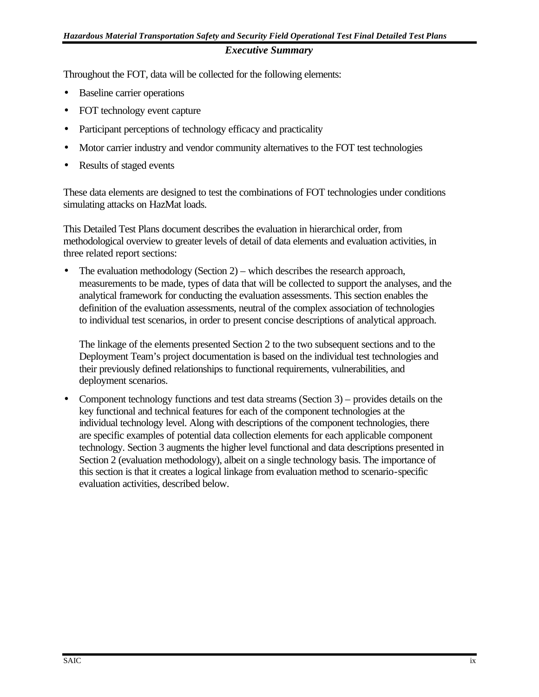Throughout the FOT, data will be collected for the following elements:

- Baseline carrier operations
- FOT technology event capture
- Participant perceptions of technology efficacy and practicality
- Motor carrier industry and vendor community alternatives to the FOT test technologies
- Results of staged events

These data elements are designed to test the combinations of FOT technologies under conditions simulating attacks on HazMat loads.

This Detailed Test Plans document describes the evaluation in hierarchical order, from methodological overview to greater levels of detail of data elements and evaluation activities, in three related report sections:

The evaluation methodology (Section  $2$ ) – which describes the research approach, measurements to be made, types of data that will be collected to support the analyses, and the analytical framework for conducting the evaluation assessments. This section enables the definition of the evaluation assessments, neutral of the complex association of technologies to individual test scenarios, in order to present concise descriptions of analytical approach.

The linkage of the elements presented Section 2 to the two subsequent sections and to the Deployment Team's project documentation is based on the individual test technologies and their previously defined relationships to functional requirements, vulnerabilities, and deployment scenarios.

• Component technology functions and test data streams (Section 3) – provides details on the key functional and technical features for each of the component technologies at the individual technology level. Along with descriptions of the component technologies, there are specific examples of potential data collection elements for each applicable component technology. Section 3 augments the higher level functional and data descriptions presented in Section 2 (evaluation methodology), albeit on a single technology basis. The importance of this section is that it creates a logical linkage from evaluation method to scenario-specific evaluation activities, described below.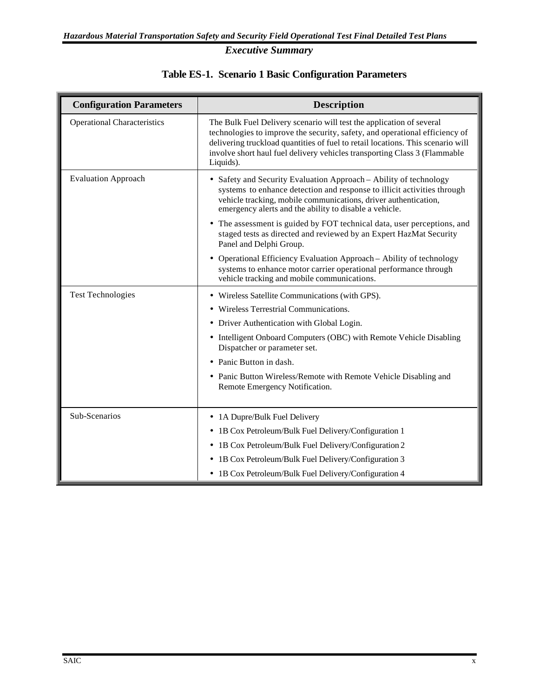| <b>Configuration Parameters</b>    | <b>Description</b>                                                                                                                                                                                                                                                                                                               |
|------------------------------------|----------------------------------------------------------------------------------------------------------------------------------------------------------------------------------------------------------------------------------------------------------------------------------------------------------------------------------|
| <b>Operational Characteristics</b> | The Bulk Fuel Delivery scenario will test the application of several<br>technologies to improve the security, safety, and operational efficiency of<br>delivering truckload quantities of fuel to retail locations. This scenario will<br>involve short haul fuel delivery vehicles transporting Class 3 (Flammable<br>Liquids). |
| <b>Evaluation Approach</b>         | • Safety and Security Evaluation Approach - Ability of technology<br>systems to enhance detection and response to illicit activities through<br>vehicle tracking, mobile communications, driver authentication,<br>emergency alerts and the ability to disable a vehicle.                                                        |
|                                    | The assessment is guided by FOT technical data, user perceptions, and<br>$\bullet$<br>staged tests as directed and reviewed by an Expert HazMat Security<br>Panel and Delphi Group.                                                                                                                                              |
|                                    | • Operational Efficiency Evaluation Approach - Ability of technology<br>systems to enhance motor carrier operational performance through<br>vehicle tracking and mobile communications.                                                                                                                                          |
| <b>Test Technologies</b>           | • Wireless Satellite Communications (with GPS).                                                                                                                                                                                                                                                                                  |
|                                    | • Wireless Terrestrial Communications.                                                                                                                                                                                                                                                                                           |
|                                    | • Driver Authentication with Global Login.                                                                                                                                                                                                                                                                                       |
|                                    | • Intelligent Onboard Computers (OBC) with Remote Vehicle Disabling<br>Dispatcher or parameter set.                                                                                                                                                                                                                              |
|                                    | • Panic Button in dash.                                                                                                                                                                                                                                                                                                          |
|                                    | • Panic Button Wireless/Remote with Remote Vehicle Disabling and<br>Remote Emergency Notification.                                                                                                                                                                                                                               |
| Sub-Scenarios                      | • 1A Dupre/Bulk Fuel Delivery                                                                                                                                                                                                                                                                                                    |
|                                    | • 1B Cox Petroleum/Bulk Fuel Delivery/Configuration 1                                                                                                                                                                                                                                                                            |
|                                    | • 1B Cox Petroleum/Bulk Fuel Delivery/Configuration 2                                                                                                                                                                                                                                                                            |
|                                    | • 1B Cox Petroleum/Bulk Fuel Delivery/Configuration 3                                                                                                                                                                                                                                                                            |
|                                    | • 1B Cox Petroleum/Bulk Fuel Delivery/Configuration 4                                                                                                                                                                                                                                                                            |

## **Table ES-1. Scenario 1 Basic Configuration Parameters**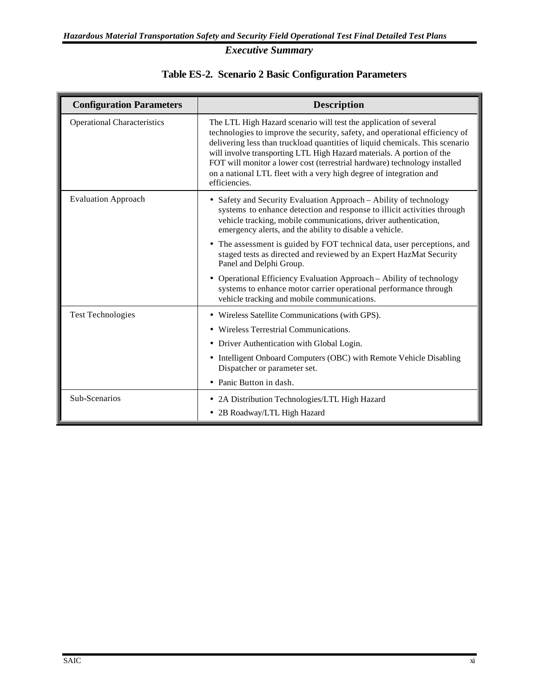| <b>Configuration Parameters</b>    | <b>Description</b>                                                                                                                                                                                                                                                                                                                                                                                                                                                            |
|------------------------------------|-------------------------------------------------------------------------------------------------------------------------------------------------------------------------------------------------------------------------------------------------------------------------------------------------------------------------------------------------------------------------------------------------------------------------------------------------------------------------------|
| <b>Operational Characteristics</b> | The LTL High Hazard scenario will test the application of several<br>technologies to improve the security, safety, and operational efficiency of<br>delivering less than truckload quantities of liquid chemicals. This scenario<br>will involve transporting LTL High Hazard materials. A portion of the<br>FOT will monitor a lower cost (terrestrial hardware) technology installed<br>on a national LTL fleet with a very high degree of integration and<br>efficiencies. |
| <b>Evaluation Approach</b>         | • Safety and Security Evaluation Approach – Ability of technology<br>systems to enhance detection and response to illicit activities through<br>vehicle tracking, mobile communications, driver authentication,<br>emergency alerts, and the ability to disable a vehicle.                                                                                                                                                                                                    |
|                                    | • The assessment is guided by FOT technical data, user perceptions, and<br>staged tests as directed and reviewed by an Expert HazMat Security<br>Panel and Delphi Group.                                                                                                                                                                                                                                                                                                      |
|                                    | • Operational Efficiency Evaluation Approach - Ability of technology<br>systems to enhance motor carrier operational performance through<br>vehicle tracking and mobile communications.                                                                                                                                                                                                                                                                                       |
| <b>Test Technologies</b>           | • Wireless Satellite Communications (with GPS).                                                                                                                                                                                                                                                                                                                                                                                                                               |
|                                    | • Wireless Terrestrial Communications.                                                                                                                                                                                                                                                                                                                                                                                                                                        |
|                                    | • Driver Authentication with Global Login.                                                                                                                                                                                                                                                                                                                                                                                                                                    |
|                                    | • Intelligent Onboard Computers (OBC) with Remote Vehicle Disabling<br>Dispatcher or parameter set.                                                                                                                                                                                                                                                                                                                                                                           |
|                                    | • Panic Button in dash.                                                                                                                                                                                                                                                                                                                                                                                                                                                       |
| Sub-Scenarios                      | • 2A Distribution Technologies/LTL High Hazard                                                                                                                                                                                                                                                                                                                                                                                                                                |
|                                    | • 2B Roadway/LTL High Hazard                                                                                                                                                                                                                                                                                                                                                                                                                                                  |

## **Table ES-2. Scenario 2 Basic Configuration Parameters**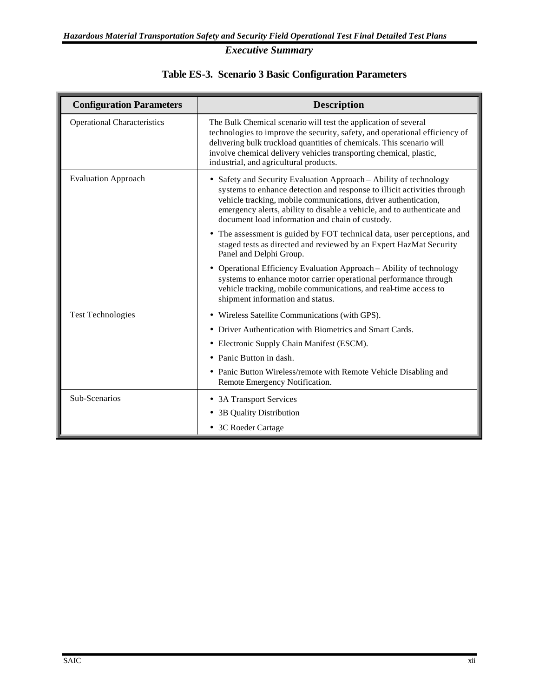| <b>Configuration Parameters</b>    | <b>Description</b>                                                                                                                                                                                                                                                                                                                            |
|------------------------------------|-----------------------------------------------------------------------------------------------------------------------------------------------------------------------------------------------------------------------------------------------------------------------------------------------------------------------------------------------|
| <b>Operational Characteristics</b> | The Bulk Chemical scenario will test the application of several<br>technologies to improve the security, safety, and operational efficiency of<br>delivering bulk truckload quantities of chemicals. This scenario will<br>involve chemical delivery vehicles transporting chemical, plastic,<br>industrial, and agricultural products.       |
| <b>Evaluation Approach</b>         | • Safety and Security Evaluation Approach – Ability of technology<br>systems to enhance detection and response to illicit activities through<br>vehicle tracking, mobile communications, driver authentication,<br>emergency alerts, ability to disable a vehicle, and to authenticate and<br>document load information and chain of custody. |
|                                    | • The assessment is guided by FOT technical data, user perceptions, and<br>staged tests as directed and reviewed by an Expert HazMat Security<br>Panel and Delphi Group.                                                                                                                                                                      |
|                                    | • Operational Efficiency Evaluation Approach - Ability of technology<br>systems to enhance motor carrier operational performance through<br>vehicle tracking, mobile communications, and real-time access to<br>shipment information and status.                                                                                              |
| <b>Test Technologies</b>           | • Wireless Satellite Communications (with GPS).                                                                                                                                                                                                                                                                                               |
|                                    | • Driver Authentication with Biometrics and Smart Cards.                                                                                                                                                                                                                                                                                      |
|                                    | • Electronic Supply Chain Manifest (ESCM).                                                                                                                                                                                                                                                                                                    |
|                                    | • Panic Button in dash.                                                                                                                                                                                                                                                                                                                       |
|                                    | • Panic Button Wireless/remote with Remote Vehicle Disabling and<br>Remote Emergency Notification.                                                                                                                                                                                                                                            |
| Sub-Scenarios                      | • 3A Transport Services                                                                                                                                                                                                                                                                                                                       |
|                                    | 3B Quality Distribution                                                                                                                                                                                                                                                                                                                       |
|                                    | • 3C Roeder Cartage                                                                                                                                                                                                                                                                                                                           |

## **Table ES-3. Scenario 3 Basic Configuration Parameters**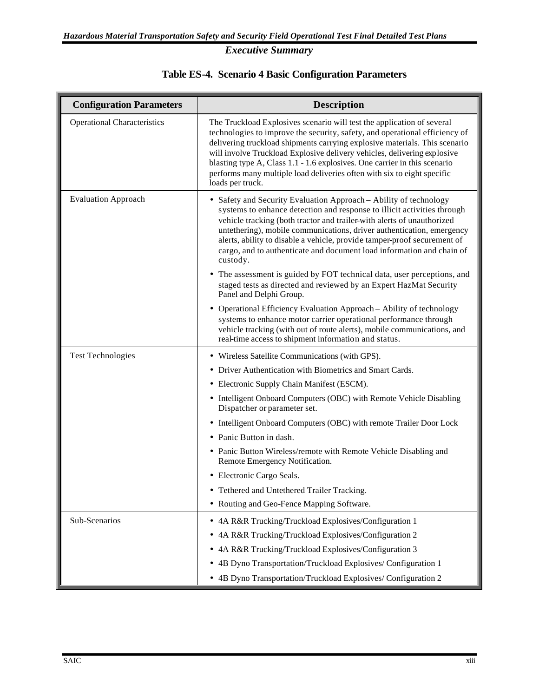| <b>Configuration Parameters</b>    | <b>Description</b>                                                                                                                                                                                                                                                                                                                                                                                                                                                                          |
|------------------------------------|---------------------------------------------------------------------------------------------------------------------------------------------------------------------------------------------------------------------------------------------------------------------------------------------------------------------------------------------------------------------------------------------------------------------------------------------------------------------------------------------|
| <b>Operational Characteristics</b> | The Truckload Explosives scenario will test the application of several<br>technologies to improve the security, safety, and operational efficiency of<br>delivering truckload shipments carrying explosive materials. This scenario<br>will involve Truckload Explosive delivery vehicles, delivering explosive<br>blasting type A, Class 1.1 - 1.6 explosives. One carrier in this scenario<br>performs many multiple load deliveries often with six to eight specific<br>loads per truck. |
| <b>Evaluation Approach</b>         | • Safety and Security Evaluation Approach - Ability of technology<br>systems to enhance detection and response to illicit activities through<br>vehicle tracking (both tractor and trailer-with alerts of unauthorized<br>untethering), mobile communications, driver authentication, emergency<br>alerts, ability to disable a vehicle, provide tamper-proof securement of<br>cargo, and to authenticate and document load information and chain of<br>custody.                            |
|                                    | • The assessment is guided by FOT technical data, user perceptions, and<br>staged tests as directed and reviewed by an Expert HazMat Security<br>Panel and Delphi Group.                                                                                                                                                                                                                                                                                                                    |
|                                    | • Operational Efficiency Evaluation Approach - Ability of technology<br>systems to enhance motor carrier operational performance through<br>vehicle tracking (with out of route alerts), mobile communications, and<br>real-time access to shipment information and status.                                                                                                                                                                                                                 |
| <b>Test Technologies</b>           | • Wireless Satellite Communications (with GPS).                                                                                                                                                                                                                                                                                                                                                                                                                                             |
|                                    | • Driver Authentication with Biometrics and Smart Cards.                                                                                                                                                                                                                                                                                                                                                                                                                                    |
|                                    | • Electronic Supply Chain Manifest (ESCM).                                                                                                                                                                                                                                                                                                                                                                                                                                                  |
|                                    | • Intelligent Onboard Computers (OBC) with Remote Vehicle Disabling<br>Dispatcher or parameter set.                                                                                                                                                                                                                                                                                                                                                                                         |
|                                    | • Intelligent Onboard Computers (OBC) with remote Trailer Door Lock                                                                                                                                                                                                                                                                                                                                                                                                                         |
|                                    | • Panic Button in dash.                                                                                                                                                                                                                                                                                                                                                                                                                                                                     |
|                                    | • Panic Button Wireless/remote with Remote Vehicle Disabling and<br>Remote Emergency Notification.                                                                                                                                                                                                                                                                                                                                                                                          |
|                                    | • Electronic Cargo Seals.                                                                                                                                                                                                                                                                                                                                                                                                                                                                   |
|                                    | Tethered and Untethered Trailer Tracking.                                                                                                                                                                                                                                                                                                                                                                                                                                                   |
|                                    | • Routing and Geo-Fence Mapping Software.                                                                                                                                                                                                                                                                                                                                                                                                                                                   |
| Sub-Scenarios                      | • 4A R&R Trucking/Truckload Explosives/Configuration 1                                                                                                                                                                                                                                                                                                                                                                                                                                      |
|                                    | 4A R&R Trucking/Truckload Explosives/Configuration 2                                                                                                                                                                                                                                                                                                                                                                                                                                        |
|                                    | 4A R&R Trucking/Truckload Explosives/Configuration 3                                                                                                                                                                                                                                                                                                                                                                                                                                        |
|                                    | 4B Dyno Transportation/Truckload Explosives/ Configuration 1                                                                                                                                                                                                                                                                                                                                                                                                                                |
|                                    | • 4B Dyno Transportation/Truckload Explosives/ Configuration 2                                                                                                                                                                                                                                                                                                                                                                                                                              |

## **Table ES-4. Scenario 4 Basic Configuration Parameters**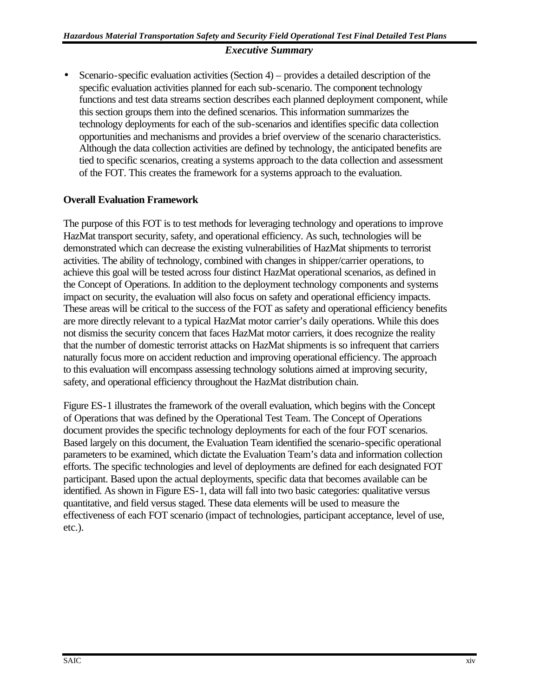Scenario-specific evaluation activities (Section 4) – provides a detailed description of the specific evaluation activities planned for each sub-scenario. The component technology functions and test data streams section describes each planned deployment component, while this section groups them into the defined scenarios. This information summarizes the technology deployments for each of the sub-scenarios and identifies specific data collection opportunities and mechanisms and provides a brief overview of the scenario characteristics. Although the data collection activities are defined by technology, the anticipated benefits are tied to specific scenarios, creating a systems approach to the data collection and assessment of the FOT. This creates the framework for a systems approach to the evaluation.

#### **Overall Evaluation Framework**

The purpose of this FOT is to test methods for leveraging technology and operations to improve HazMat transport security, safety, and operational efficiency. As such, technologies will be demonstrated which can decrease the existing vulnerabilities of HazMat shipments to terrorist activities. The ability of technology, combined with changes in shipper/carrier operations, to achieve this goal will be tested across four distinct HazMat operational scenarios, as defined in the Concept of Operations. In addition to the deployment technology components and systems impact on security, the evaluation will also focus on safety and operational efficiency impacts. These areas will be critical to the success of the FOT as safety and operational efficiency benefits are more directly relevant to a typical HazMat motor carrier's daily operations. While this does not dismiss the security concern that faces HazMat motor carriers, it does recognize the reality that the number of domestic terrorist attacks on HazMat shipments is so infrequent that carriers naturally focus more on accident reduction and improving operational efficiency. The approach to this evaluation will encompass assessing technology solutions aimed at improving security, safety, and operational efficiency throughout the HazMat distribution chain.

Figure ES-1 illustrates the framework of the overall evaluation, which begins with the Concept of Operations that was defined by the Operational Test Team. The Concept of Operations document provides the specific technology deployments for each of the four FOT scenarios. Based largely on this document, the Evaluation Team identified the scenario-specific operational parameters to be examined, which dictate the Evaluation Team's data and information collection efforts. The specific technologies and level of deployments are defined for each designated FOT participant. Based upon the actual deployments, specific data that becomes available can be identified. As shown in Figure ES-1, data will fall into two basic categories: qualitative versus quantitative, and field versus staged. These data elements will be used to measure the effectiveness of each FOT scenario (impact of technologies, participant acceptance, level of use, etc.).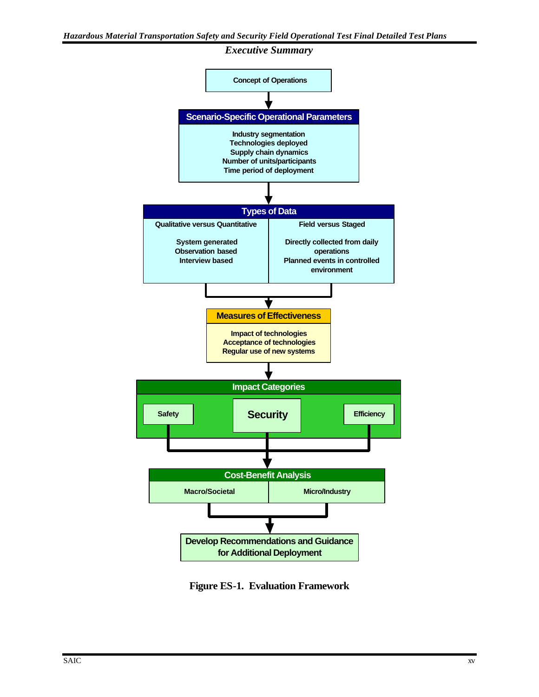



**Figure ES-1. Evaluation Framework**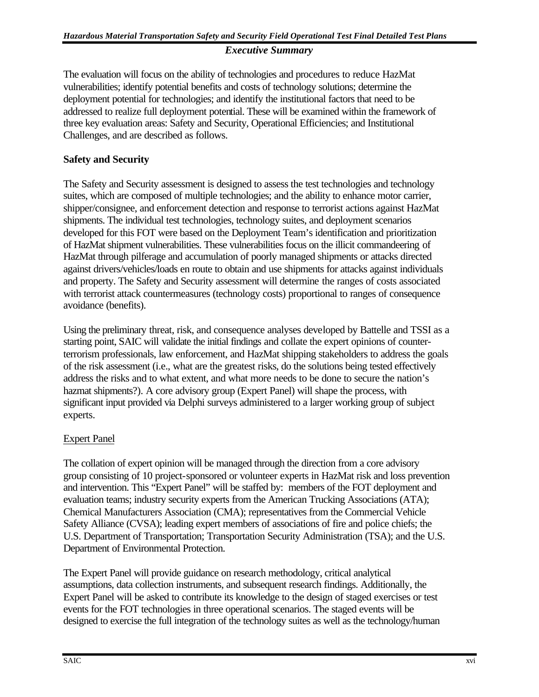The evaluation will focus on the ability of technologies and procedures to reduce HazMat vulnerabilities; identify potential benefits and costs of technology solutions; determine the deployment potential for technologies; and identify the institutional factors that need to be addressed to realize full deployment potential. These will be examined within the framework of three key evaluation areas: Safety and Security, Operational Efficiencies; and Institutional Challenges, and are described as follows.

### **Safety and Security**

The Safety and Security assessment is designed to assess the test technologies and technology suites, which are composed of multiple technologies; and the ability to enhance motor carrier, shipper/consignee, and enforcement detection and response to terrorist actions against HazMat shipments. The individual test technologies, technology suites, and deployment scenarios developed for this FOT were based on the Deployment Team's identification and prioritization of HazMat shipment vulnerabilities. These vulnerabilities focus on the illicit commandeering of HazMat through pilferage and accumulation of poorly managed shipments or attacks directed against drivers/vehicles/loads en route to obtain and use shipments for attacks against individuals and property. The Safety and Security assessment will determine the ranges of costs associated with terrorist attack countermeasures (technology costs) proportional to ranges of consequence avoidance (benefits).

Using the preliminary threat, risk, and consequence analyses developed by Battelle and TSSI as a starting point, SAIC will validate the initial findings and collate the expert opinions of counterterrorism professionals, law enforcement, and HazMat shipping stakeholders to address the goals of the risk assessment (i.e., what are the greatest risks, do the solutions being tested effectively address the risks and to what extent, and what more needs to be done to secure the nation's hazmat shipments?). A core advisory group (Expert Panel) will shape the process, with significant input provided via Delphi surveys administered to a larger working group of subject experts.

#### Expert Panel

The collation of expert opinion will be managed through the direction from a core advisory group consisting of 10 project-sponsored or volunteer experts in HazMat risk and loss prevention and intervention. This "Expert Panel" will be staffed by: members of the FOT deployment and evaluation teams; industry security experts from the American Trucking Associations (ATA); Chemical Manufacturers Association (CMA); representatives from the Commercial Vehicle Safety Alliance (CVSA); leading expert members of associations of fire and police chiefs; the U.S. Department of Transportation; Transportation Security Administration (TSA); and the U.S. Department of Environmental Protection.

The Expert Panel will provide guidance on research methodology, critical analytical assumptions, data collection instruments, and subsequent research findings. Additionally, the Expert Panel will be asked to contribute its knowledge to the design of staged exercises or test events for the FOT technologies in three operational scenarios. The staged events will be designed to exercise the full integration of the technology suites as well as the technology/human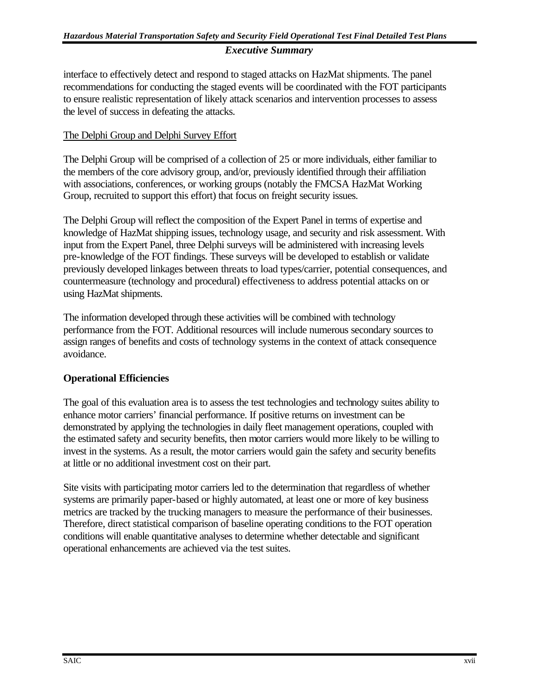interface to effectively detect and respond to staged attacks on HazMat shipments. The panel recommendations for conducting the staged events will be coordinated with the FOT participants to ensure realistic representation of likely attack scenarios and intervention processes to assess the level of success in defeating the attacks.

#### The Delphi Group and Delphi Survey Effort

The Delphi Group will be comprised of a collection of 25 or more individuals, either familiar to the members of the core advisory group, and/or, previously identified through their affiliation with associations, conferences, or working groups (notably the FMCSA HazMat Working Group, recruited to support this effort) that focus on freight security issues.

The Delphi Group will reflect the composition of the Expert Panel in terms of expertise and knowledge of HazMat shipping issues, technology usage, and security and risk assessment. With input from the Expert Panel, three Delphi surveys will be administered with increasing levels pre-knowledge of the FOT findings. These surveys will be developed to establish or validate previously developed linkages between threats to load types/carrier, potential consequences, and countermeasure (technology and procedural) effectiveness to address potential attacks on or using HazMat shipments.

The information developed through these activities will be combined with technology performance from the FOT. Additional resources will include numerous secondary sources to assign ranges of benefits and costs of technology systems in the context of attack consequence avoidance.

### **Operational Efficiencies**

The goal of this evaluation area is to assess the test technologies and technology suites ability to enhance motor carriers' financial performance. If positive returns on investment can be demonstrated by applying the technologies in daily fleet management operations, coupled with the estimated safety and security benefits, then motor carriers would more likely to be willing to invest in the systems. As a result, the motor carriers would gain the safety and security benefits at little or no additional investment cost on their part.

Site visits with participating motor carriers led to the determination that regardless of whether systems are primarily paper-based or highly automated, at least one or more of key business metrics are tracked by the trucking managers to measure the performance of their businesses. Therefore, direct statistical comparison of baseline operating conditions to the FOT operation conditions will enable quantitative analyses to determine whether detectable and significant operational enhancements are achieved via the test suites.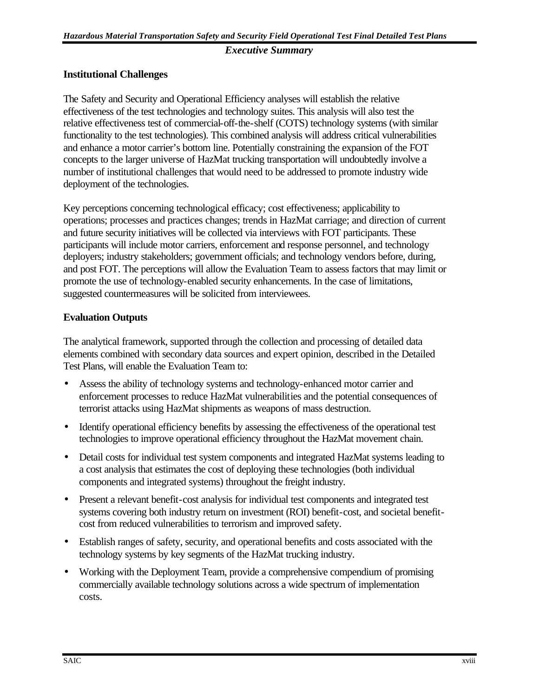#### **Institutional Challenges**

The Safety and Security and Operational Efficiency analyses will establish the relative effectiveness of the test technologies and technology suites. This analysis will also test the relative effectiveness test of commercial-off-the-shelf (COTS) technology systems (with similar functionality to the test technologies). This combined analysis will address critical vulnerabilities and enhance a motor carrier's bottom line. Potentially constraining the expansion of the FOT concepts to the larger universe of HazMat trucking transportation will undoubtedly involve a number of institutional challenges that would need to be addressed to promote industry wide deployment of the technologies.

Key perceptions concerning technological efficacy; cost effectiveness; applicability to operations; processes and practices changes; trends in HazMat carriage; and direction of current and future security initiatives will be collected via interviews with FOT participants. These participants will include motor carriers, enforcement and response personnel, and technology deployers; industry stakeholders; government officials; and technology vendors before, during, and post FOT. The perceptions will allow the Evaluation Team to assess factors that may limit or promote the use of technology-enabled security enhancements. In the case of limitations, suggested countermeasures will be solicited from interviewees.

#### **Evaluation Outputs**

The analytical framework, supported through the collection and processing of detailed data elements combined with secondary data sources and expert opinion, described in the Detailed Test Plans, will enable the Evaluation Team to:

- Assess the ability of technology systems and technology-enhanced motor carrier and enforcement processes to reduce HazMat vulnerabilities and the potential consequences of terrorist attacks using HazMat shipments as weapons of mass destruction.
- Identify operational efficiency benefits by assessing the effectiveness of the operational test technologies to improve operational efficiency throughout the HazMat movement chain.
- Detail costs for individual test system components and integrated HazMat systems leading to a cost analysis that estimates the cost of deploying these technologies (both individual components and integrated systems) throughout the freight industry.
- Present a relevant benefit-cost analysis for individual test components and integrated test systems covering both industry return on investment (ROI) benefit-cost, and societal benefitcost from reduced vulnerabilities to terrorism and improved safety.
- Establish ranges of safety, security, and operational benefits and costs associated with the technology systems by key segments of the HazMat trucking industry.
- Working with the Deployment Team, provide a comprehensive compendium of promising commercially available technology solutions across a wide spectrum of implementation costs.